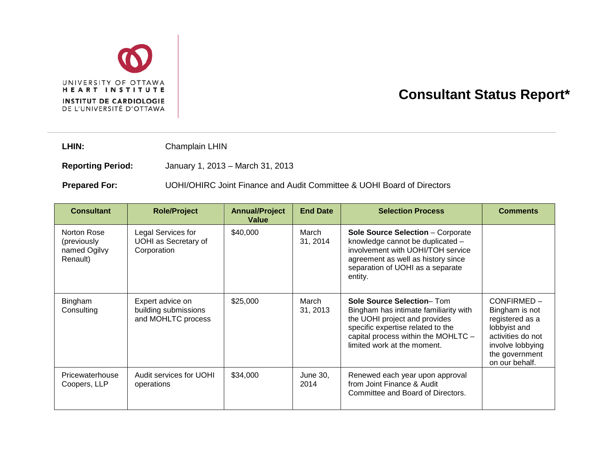

## **Consultant Status Report\***

LHIN: Champlain LHIN

**Reporting Period:** January 1, 2013 – March 31, 2013

**Prepared For:** UOHI/OHIRC Joint Finance and Audit Committee & UOHI Board of Directors

| <b>Consultant</b>                                      | <b>Role/Project</b>                                              | <b>Annual/Project</b><br>Value | <b>End Date</b>   | <b>Selection Process</b>                                                                                                                                                                                       | <b>Comments</b>                                                                                                                              |
|--------------------------------------------------------|------------------------------------------------------------------|--------------------------------|-------------------|----------------------------------------------------------------------------------------------------------------------------------------------------------------------------------------------------------------|----------------------------------------------------------------------------------------------------------------------------------------------|
| Norton Rose<br>(previously<br>named Ogilvy<br>Renault) | Legal Services for<br><b>UOHI</b> as Secretary of<br>Corporation | \$40,000                       | March<br>31, 2014 | <b>Sole Source Selection - Corporate</b><br>knowledge cannot be duplicated -<br>involvement with UOHI/TOH service<br>agreement as well as history since<br>separation of UOHI as a separate<br>entity.         |                                                                                                                                              |
| Bingham<br>Consulting                                  | Expert advice on<br>building submissions<br>and MOHLTC process   | \$25,000                       | March<br>31, 2013 | Sole Source Selection-Tom<br>Bingham has intimate familiarity with<br>the UOHI project and provides<br>specific expertise related to the<br>capital process within the MOHLTC -<br>limited work at the moment. | CONFIRMED-<br>Bingham is not<br>registered as a<br>lobbyist and<br>activities do not<br>involve lobbying<br>the government<br>on our behalf. |
| Pricewaterhouse<br>Coopers, LLP                        | Audit services for UOHI<br>operations                            | \$34,000                       | June 30.<br>2014  | Renewed each year upon approval<br>from Joint Finance & Audit<br>Committee and Board of Directors.                                                                                                             |                                                                                                                                              |